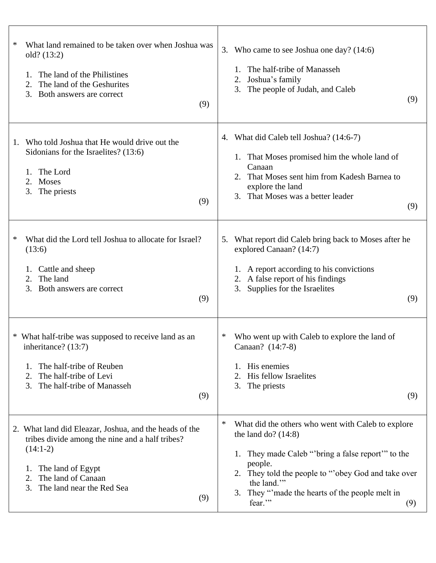| ∗                                                                                                                                                                                        | Who came to see Joshua one day? (14:6)                                                                                                                                                                            |
|------------------------------------------------------------------------------------------------------------------------------------------------------------------------------------------|-------------------------------------------------------------------------------------------------------------------------------------------------------------------------------------------------------------------|
| What land remained to be taken over when Joshua was                                                                                                                                      | 3.                                                                                                                                                                                                                |
| old? (13:2)                                                                                                                                                                              | The half-tribe of Manasseh                                                                                                                                                                                        |
| The land of the Philistines                                                                                                                                                              | Joshua's family                                                                                                                                                                                                   |
| The land of the Geshurites                                                                                                                                                               | 2.                                                                                                                                                                                                                |
| 2.                                                                                                                                                                                       | The people of Judah, and Caleb                                                                                                                                                                                    |
| 3. Both answers are correct                                                                                                                                                              | 3.                                                                                                                                                                                                                |
| (9)                                                                                                                                                                                      | (9)                                                                                                                                                                                                               |
| Who told Joshua that He would drive out the<br>1.<br>Sidonians for the Israelites? (13:6)<br>The Lord<br>1.<br>Moses<br>2.<br>3.<br>The priests<br>(9)                                   | 4. What did Caleb tell Joshua? (14:6-7)<br>1. That Moses promised him the whole land of<br>Canaan<br>2. That Moses sent him from Kadesh Barnea to<br>explore the land<br>3. That Moses was a better leader<br>(9) |
| What did the Lord tell Joshua to allocate for Israel?                                                                                                                                    | What report did Caleb bring back to Moses after he                                                                                                                                                                |
| ∗                                                                                                                                                                                        | 5.                                                                                                                                                                                                                |
| (13:6)                                                                                                                                                                                   | explored Canaan? (14:7)                                                                                                                                                                                           |
| Cattle and sheep                                                                                                                                                                         | 1. A report according to his convictions                                                                                                                                                                          |
| 1.                                                                                                                                                                                       | A false report of his findings                                                                                                                                                                                    |
| The land                                                                                                                                                                                 | 2.                                                                                                                                                                                                                |
| 2.                                                                                                                                                                                       | Supplies for the Israelites                                                                                                                                                                                       |
| 3. Both answers are correct                                                                                                                                                              | 3.                                                                                                                                                                                                                |
| (9)                                                                                                                                                                                      | (9)                                                                                                                                                                                                               |
| * What half-tribe was supposed to receive land as an<br>inheritance? (13:7)<br>The half-tribe of Reuben<br>1.<br>The half-tribe of Levi<br>2.<br>The half-tribe of Manasseh<br>3.<br>(9) | Who went up with Caleb to explore the land of<br>Canaan? (14:7-8)<br>His enemies<br>His fellow Israelites<br>2.<br>3.<br>The priests<br>(9)                                                                       |
| 2. What land did Eleazar, Joshua, and the heads of the                                                                                                                                   | ∗                                                                                                                                                                                                                 |
| tribes divide among the nine and a half tribes?                                                                                                                                          | What did the others who went with Caleb to explore                                                                                                                                                                |
| $(14:1-2)$                                                                                                                                                                               | the land do? $(14:8)$                                                                                                                                                                                             |
| The land of Egypt                                                                                                                                                                        | 1. They made Caleb "'bring a false report'" to the                                                                                                                                                                |
| 1.                                                                                                                                                                                       | people.                                                                                                                                                                                                           |
| The land of Canaan                                                                                                                                                                       | 2. They told the people to "obey God and take over                                                                                                                                                                |
| 2.                                                                                                                                                                                       | the land."                                                                                                                                                                                                        |
| The land near the Red Sea                                                                                                                                                                | 3. They "made the hearts of the people melt in                                                                                                                                                                    |
| 3.                                                                                                                                                                                       | fear."                                                                                                                                                                                                            |
| (9)                                                                                                                                                                                      | (9)                                                                                                                                                                                                               |

Τ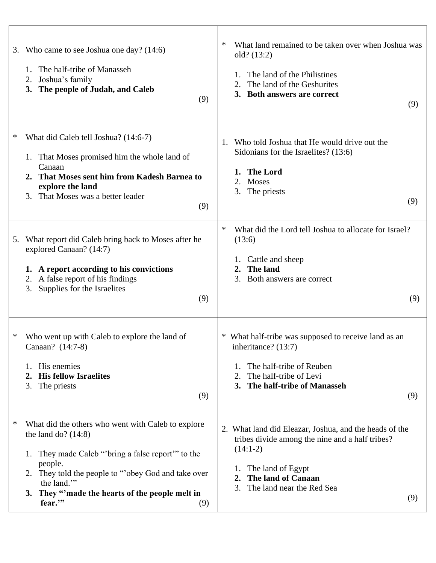| Who came to see Joshua one day? (14:6)<br>3.<br>The half-tribe of Manasseh<br>1.<br>Joshua's family<br>2.<br>The people of Judah, and Caleb<br>3.<br>(9)                                                                                                                                    | What land remained to be taken over when Joshua was<br>$\ast$<br>old? (13:2)<br>The land of the Philistines<br>The land of the Geshurites<br>3. Both answers are correct<br>(9)                                          |
|---------------------------------------------------------------------------------------------------------------------------------------------------------------------------------------------------------------------------------------------------------------------------------------------|--------------------------------------------------------------------------------------------------------------------------------------------------------------------------------------------------------------------------|
| ∗<br>What did Caleb tell Joshua? (14:6-7)<br>That Moses promised him the whole land of<br>1.<br>Canaan<br>That Moses sent him from Kadesh Barnea to<br>2.<br>explore the land<br>That Moses was a better leader<br>3.<br>(9)                                                                | Who told Joshua that He would drive out the<br>1.<br>Sidonians for the Israelites? (13:6)<br><b>The Lord</b><br>1.<br>2.<br>Moses<br>The priests<br>3.<br>(9)                                                            |
| What report did Caleb bring back to Moses after he<br>5.<br>explored Canaan? (14:7)<br>1. A report according to his convictions<br>A false report of his findings<br>2.<br>Supplies for the Israelites<br>3.<br>(9)                                                                         | $\ast$<br>What did the Lord tell Joshua to allocate for Israel?<br>(13:6)<br>Cattle and sheep<br>The land<br>2.<br>Both answers are correct<br>3.<br>(9)                                                                 |
| ∗<br>Who went up with Caleb to explore the land of<br>Canaan? (14:7-8)<br>His enemies<br>1.<br><b>His fellow Israelites</b><br>2.<br>3.<br>The priests<br>(9)                                                                                                                               | * What half-tribe was supposed to receive land as an<br>inheritance? (13:7)<br>The half-tribe of Reuben<br>The half-tribe of Levi<br>3. The half-tribe of Manasseh<br>(9)                                                |
| ∗<br>What did the others who went with Caleb to explore<br>the land do? $(14:8)$<br>They made Caleb "'bring a false report'" to the<br>people.<br>They told the people to "obey God and take over<br>2.<br>the land."<br>They "made the hearts of the people melt in<br>3.<br>fear."<br>(9) | 2. What land did Eleazar, Joshua, and the heads of the<br>tribes divide among the nine and a half tribes?<br>$(14:1-2)$<br>The land of Egypt<br>1.<br>The land of Canaan<br>2.<br>The land near the Red Sea<br>3.<br>(9) |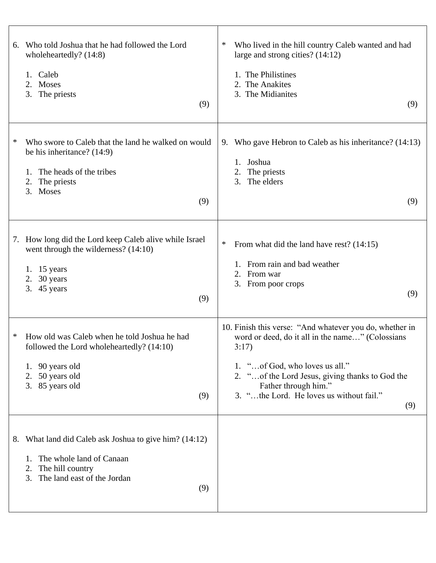| Who told Joshua that he had followed the Lord<br>6.<br>wholeheartedly? (14:8)<br>1. Caleb<br>Moses<br>2.<br>3.<br>The priests<br>(9)                                 | ∗<br>Who lived in the hill country Caleb wanted and had<br>large and strong cities? $(14:12)$<br>1. The Philistines<br>2. The Anakites<br>3. The Midianites<br>(9)                                                                                                                    |
|----------------------------------------------------------------------------------------------------------------------------------------------------------------------|---------------------------------------------------------------------------------------------------------------------------------------------------------------------------------------------------------------------------------------------------------------------------------------|
| Who swore to Caleb that the land he walked on would<br>∗<br>be his inheritance? (14:9)<br>The heads of the tribes<br>1.<br>The priests<br>2.<br>3. Moses<br>(9)      | 9. Who gave Hebron to Caleb as his inheritance? (14:13)<br>Joshua<br>The priests<br>2.<br>The elders<br>3.<br>(9)                                                                                                                                                                     |
| 7. How long did the Lord keep Caleb alive while Israel<br>went through the wilderness? $(14:10)$<br>1. $15$ years<br>2. $30$ years<br>3. 45 years<br>(9)             | ∗<br>From what did the land have rest? (14:15)<br>From rain and bad weather<br>From war<br>2.<br>3. From poor crops<br>(9)                                                                                                                                                            |
| How old was Caleb when he told Joshua he had<br>*<br>followed the Lord wholeheartedly? (14:10)<br>90 years old<br>1.<br>50 years old<br>2.<br>3. 85 years old<br>(9) | 10. Finish this verse: "And whatever you do, whether in<br>word or deed, do it all in the name" (Colossians<br>3:17)<br>1. "of God, who loves us all."<br>2. " of the Lord Jesus, giving thanks to God the<br>Father through him."<br>3. "the Lord. He loves us without fail."<br>(9) |
| 8. What land did Caleb ask Joshua to give him? (14:12)<br>The whole land of Canaan<br>1.<br>The hill country<br>2.<br>The land east of the Jordan<br>3.<br>(9)       |                                                                                                                                                                                                                                                                                       |